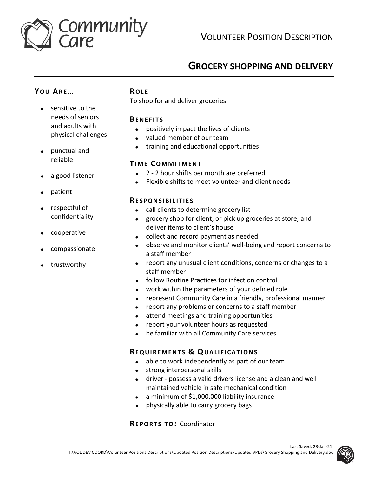

VOLUNTEER POSITION DESCRIPTION

# **GROCERY SHOPPING AND DELIVERY**

## **YO U AR E…**

- sensitive to the needs of seniors and adults with physical challenges
- punctual and reliable
- a good listener
- patient
- respectful of confidentiality
- cooperative
- compassionate
- trustworthy

## **RO L E**

To shop for and deliver groceries

## **BE N E F I T S**

- positively impact the lives of clients
- valued member of our team
- training and educational opportunities

## **TI M E CO M M I T M E N T**

- ◆ 2 2 hour shifts per month are preferred
- Flexible shifts to meet volunteer and client needs

## **RE S P O N S I B I L I T I E S**

- ◆ call clients to determine grocery list
- grocery shop for client, or pick up groceries at store, and deliver items to client's house
- collect and record payment as needed
- observe and monitor clients' well-being and report concerns to a staff member
- report any unusual client conditions, concerns or changes to a staff member
- ◆ follow Routine Practices for infection control
- work within the parameters of your defined role
- represent Community Care in a friendly, professional manner
- ◆ report any problems or concerns to a staff member
- attend meetings and training opportunities
- report your volunteer hours as requested
- be familiar with all Community Care services

## **RE Q U I R E M E N T S & QU A L I F I C A T I O N S**

- $\bullet$  able to work independently as part of our team
- ◆ strong interpersonal skills
- driver possess a valid drivers license and a clean and well maintained vehicle in safe mechanical condition
- a minimum of \$1,000,000 liability insurance
- physically able to carry grocery bags

## **REPORTS TO: Coordinator**